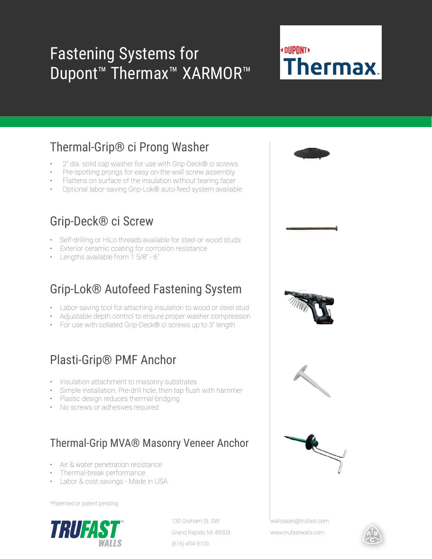## Fastening Systems for Dupont™ Thermax™ XARMOR™

# **«DUPONT» Thermax**

### Thermal-Grip® ci Prong Washer

- 2" dia. solid cap washer for use with Grip-Deck® ci screws.
- Pre-spotting prongs for easy on-the-wall screw assembly
- Flattens on surface of the insulation without tearing facer
- Optional labor-saving Grip-Lok® auto-feed system available

#### Grip-Deck® ci Screw

- Self-drilling or HiLo threads available for steel or wood studs
- **Exterior ceramic coating for corrosion resistance**
- Lengths available from 1 5/8" 6"

#### Grip-Lok® Autofeed Fastening System

- Labor-saving tool for attaching insulation to wood or steel stud
- Adjustable depth control to ensure proper washer compression
- For use with collated Grip-Deck® ci screws up to 3" length

#### Plasti-Grip® PMF Anchor

- Insulation attachment to masonry substrates
- Simple installation. Pre-drill hole, then tap flush with hammer
- Plastic design reduces thermal-bridging
- No screws or adhesives required

#### Thermal-Grip MVA® Masonry Veneer Anchor

- Air & water penetration resistance
- Thermal-break performance
- Labor & cost savings Made in USA

\*Patented or patent pending



130 Graham St. SW Grand Rapids, MI 49503 (616) 454-3100



wallssales@trufast.com

www.trufastwalls.com